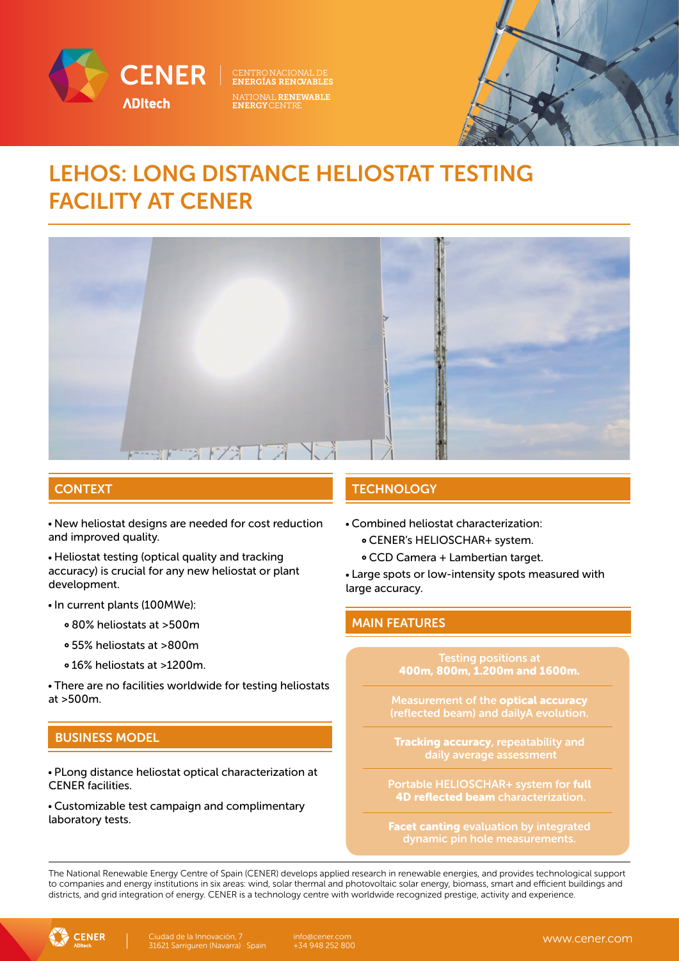

NATIONAL RENEWABLE ENERGYCENTRE



## LEHOS: LONG DISTANCE HELIOSTAT TESTING FACILITY AT CENER



New heliostat designs are needed for cost reduction and improved quality.

Heliostat testing (optical quality and tracking accuracy) is crucial for any new heliostat or plant development.

#### • In current plants (100MWe):

- 80% heliostats at >500m
- 55% heliostats at >800m
- 16% heliostats at >1200m.

There are no facilities worldwide for testing heliostats at >500m.

#### BUSINESS MODEL

PLong distance heliostat optical characterization at CENER facilities.

Customizable test campaign and complimentary laboratory tests.

#### **CONTEXT AND INTEGRATION CONTEXT**

- Combined heliostat characterization:
	- CENER's HELIOSCHAR+ system.
	- CCD Camera + Lambertian target.

Large spots or low-intensity spots measured with large accuracy.

#### MAIN FEATURES

Testing positions at 400m, 800m, 1.200m and 1600m.

Measurement of the optical accuracy

Tracking accuracy, repeatability and daily average assessment

Portable HELIOSCHAR+ system for full 4D reflected beam characterization.

Facet canting evaluation by integrated

The National Renewable Energy Centre of Spain (CENER) develops applied research in renewable energies, and provides technological support to companies and energy institutions in six areas: wind, solar thermal and photovoltaic solar energy, biomass, smart and efficient buildings and districts, and grid integration of energy. CENER is a technology centre with worldwide recognized prestige, activity and experience.



info@cener.com +34 948 252 800